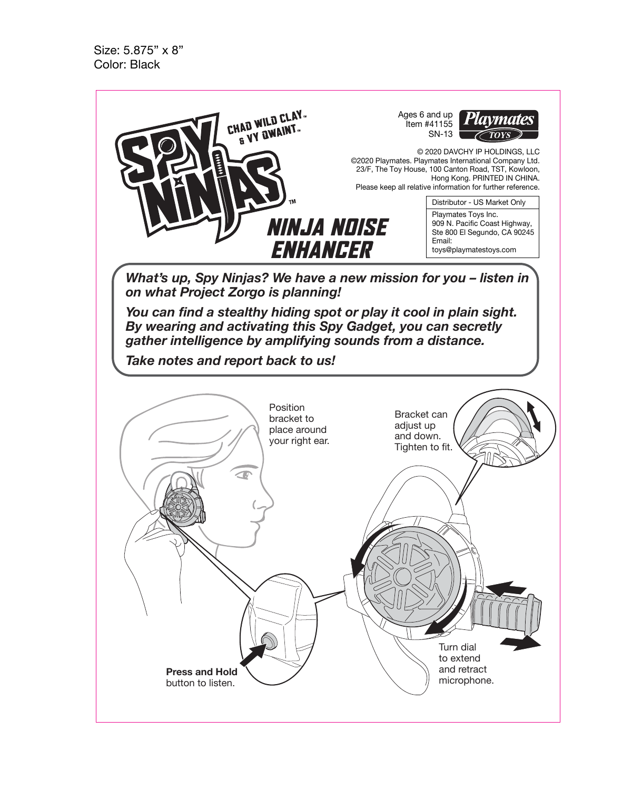